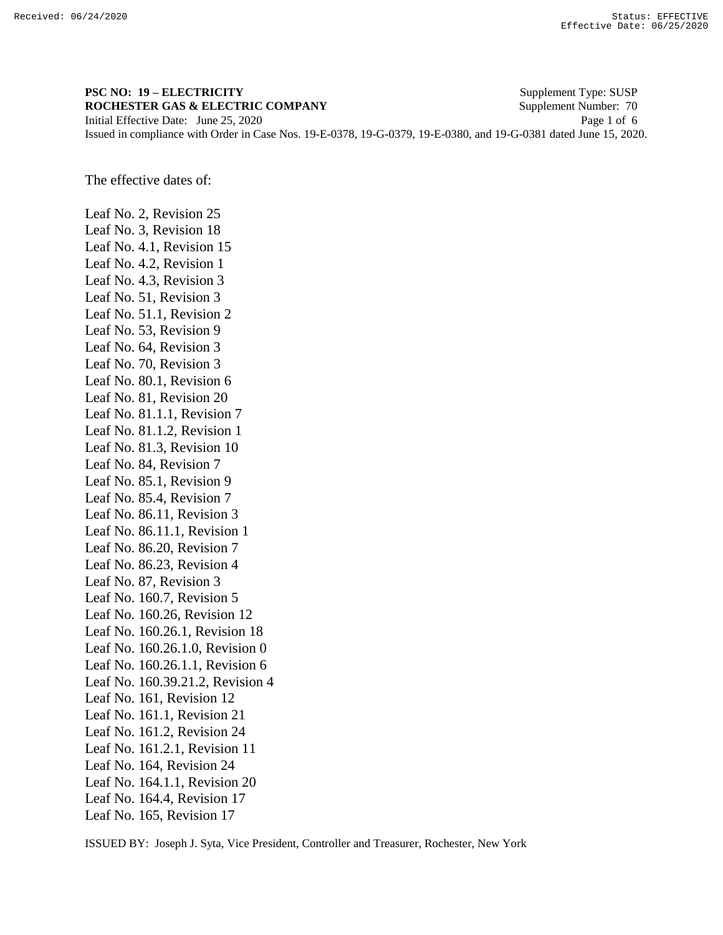## **PSC NO: 19 – ELECTRICITY** Supplement Type: SUSP **ROCHESTER GAS & ELECTRIC COMPANY** Supplement Number: 70 Initial Effective Date: June 25, 2020 Page 1 of 6

Issued in compliance with Order in Case Nos. 19-E-0378, 19-G-0379, 19-E-0380, and 19-G-0381 dated June 15, 2020.

The effective dates of:

Leaf No. 2, Revision 25 Leaf No. 3, Revision 18 Leaf No. 4.1, Revision 15 Leaf No. 4.2, Revision 1 Leaf No. 4.3, Revision 3 Leaf No. 51, Revision 3 Leaf No. 51.1, Revision 2 Leaf No. 53, Revision 9 Leaf No. 64, Revision 3 Leaf No. 70, Revision 3 Leaf No. 80.1, Revision 6 Leaf No. 81, Revision 20 Leaf No. 81.1.1, Revision 7 Leaf No. 81.1.2, Revision 1 Leaf No. 81.3, Revision 10 Leaf No. 84, Revision 7 Leaf No. 85.1, Revision 9 Leaf No. 85.4, Revision 7 Leaf No. 86.11, Revision 3 Leaf No. 86.11.1, Revision 1 Leaf No. 86.20, Revision 7 Leaf No. 86.23, Revision 4 Leaf No. 87, Revision 3 Leaf No. 160.7, Revision 5 Leaf No. 160.26, Revision 12 Leaf No. 160.26.1, Revision 18 Leaf No. 160.26.1.0, Revision 0 Leaf No. 160.26.1.1, Revision 6 Leaf No. 160.39.21.2, Revision 4 Leaf No. 161, Revision 12 Leaf No. 161.1, Revision 21 Leaf No. 161.2, Revision 24 Leaf No. 161.2.1, Revision 11 Leaf No. 164, Revision 24 Leaf No. 164.1.1, Revision 20 Leaf No. 164.4, Revision 17 Leaf No. 165, Revision 17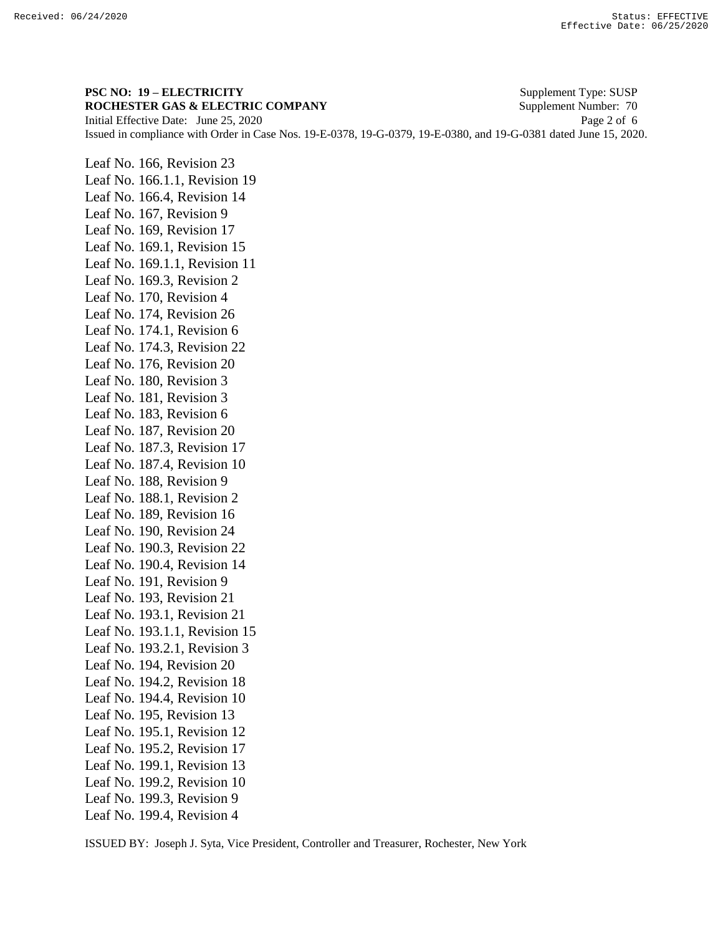**PSC NO: 19 – ELECTRICITY** Supplement Type: SUSP **ROCHESTER GAS & ELECTRIC COMPANY** Supplement Number: 70 Initial Effective Date: June 25, 2020 Page 2 of 6 Issued in compliance with Order in Case Nos. 19-E-0378, 19-G-0379, 19-E-0380, and 19-G-0381 dated June 15, 2020.

Leaf No. 166, Revision 23 Leaf No. 166.1.1, Revision 19 Leaf No. 166.4, Revision 14 Leaf No. 167, Revision 9 Leaf No. 169, Revision 17 Leaf No. 169.1, Revision 15 Leaf No. 169.1.1, Revision 11 Leaf No. 169.3, Revision 2 Leaf No. 170, Revision 4 Leaf No. 174, Revision 26 Leaf No. 174.1, Revision 6 Leaf No. 174.3, Revision 22 Leaf No. 176, Revision 20 Leaf No. 180, Revision 3 Leaf No. 181, Revision 3 Leaf No. 183, Revision 6 Leaf No. 187, Revision 20 Leaf No. 187.3, Revision 17 Leaf No. 187.4, Revision 10 Leaf No. 188, Revision 9 Leaf No. 188.1, Revision 2 Leaf No. 189, Revision 16 Leaf No. 190, Revision 24 Leaf No. 190.3, Revision 22 Leaf No. 190.4, Revision 14 Leaf No. 191, Revision 9 Leaf No. 193, Revision 21 Leaf No. 193.1, Revision 21 Leaf No. 193.1.1, Revision 15 Leaf No. 193.2.1, Revision 3 Leaf No. 194, Revision 20 Leaf No. 194.2, Revision 18 Leaf No. 194.4, Revision 10 Leaf No. 195, Revision 13 Leaf No. 195.1, Revision 12 Leaf No. 195.2, Revision 17 Leaf No. 199.1, Revision 13 Leaf No. 199.2, Revision 10 Leaf No. 199.3, Revision 9 Leaf No. 199.4, Revision 4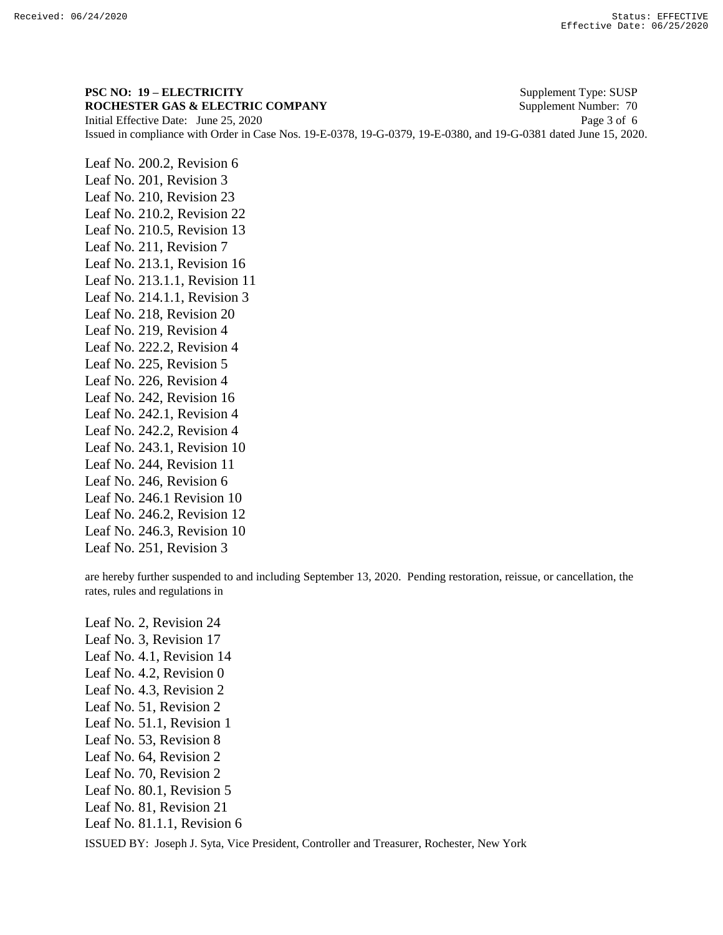**PSC NO: 19 – ELECTRICITY** Supplement Type: SUSP **ROCHESTER GAS & ELECTRIC COMPANY** Supplement Number: 70 Initial Effective Date: June 25, 2020 Page 3 of 6 Issued in compliance with Order in Case Nos. 19-E-0378, 19-G-0379, 19-E-0380, and 19-G-0381 dated June 15, 2020.

Leaf No. 200.2, Revision 6 Leaf No. 201, Revision 3 Leaf No. 210, Revision 23 Leaf No. 210.2, Revision 22 Leaf No. 210.5, Revision 13 Leaf No. 211, Revision 7 Leaf No. 213.1, Revision 16 Leaf No. 213.1.1, Revision 11 Leaf No. 214.1.1, Revision 3 Leaf No. 218, Revision 20 Leaf No. 219, Revision 4 Leaf No. 222.2, Revision 4 Leaf No. 225, Revision 5 Leaf No. 226, Revision 4 Leaf No. 242, Revision 16 Leaf No. 242.1, Revision 4 Leaf No. 242.2, Revision 4 Leaf No. 243.1, Revision 10 Leaf No. 244, Revision 11 Leaf No. 246, Revision 6 Leaf No. 246.1 Revision 10 Leaf No. 246.2, Revision 12 Leaf No. 246.3, Revision 10 Leaf No. 251, Revision 3

are hereby further suspended to and including September 13, 2020. Pending restoration, reissue, or cancellation, the rates, rules and regulations in

Leaf No. 2, Revision 24 Leaf No. 3, Revision 17 Leaf No. 4.1, Revision 14 Leaf No. 4.2, Revision 0 Leaf No. 4.3, Revision 2 Leaf No. 51, Revision 2 Leaf No. 51.1, Revision 1 Leaf No. 53, Revision 8 Leaf No. 64, Revision 2 Leaf No. 70, Revision 2 Leaf No. 80.1, Revision 5 Leaf No. 81, Revision 21 Leaf No. 81.1.1, Revision 6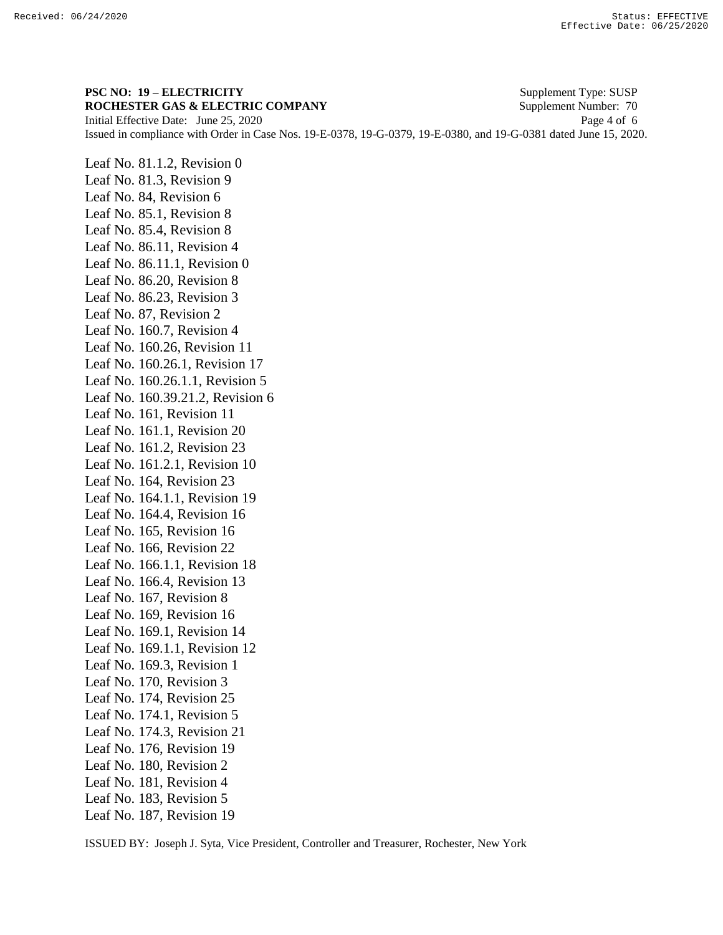**PSC NO: 19 – ELECTRICITY** Supplement Type: SUSP **ROCHESTER GAS & ELECTRIC COMPANY** Supplement Number: 70 Initial Effective Date: June 25, 2020 Issued in compliance with Order in Case Nos. 19-E-0378, 19-G-0379, 19-E-0380, and 19-G-0381 dated June 15, 2020.

Leaf No. 81.1.2, Revision 0 Leaf No. 81.3, Revision 9 Leaf No. 84, Revision 6 Leaf No. 85.1, Revision 8 Leaf No. 85.4, Revision 8 Leaf No. 86.11, Revision 4 Leaf No. 86.11.1, Revision 0 Leaf No. 86.20, Revision 8 Leaf No. 86.23, Revision 3 Leaf No. 87, Revision 2 Leaf No. 160.7, Revision 4 Leaf No. 160.26, Revision 11 Leaf No. 160.26.1, Revision 17 Leaf No. 160.26.1.1, Revision 5 Leaf No. 160.39.21.2, Revision 6 Leaf No. 161, Revision 11 Leaf No. 161.1, Revision 20 Leaf No. 161.2, Revision 23 Leaf No. 161.2.1, Revision 10 Leaf No. 164, Revision 23 Leaf No. 164.1.1, Revision 19 Leaf No. 164.4, Revision 16 Leaf No. 165, Revision 16 Leaf No. 166, Revision 22 Leaf No. 166.1.1, Revision 18 Leaf No. 166.4, Revision 13 Leaf No. 167, Revision 8 Leaf No. 169, Revision 16 Leaf No. 169.1, Revision 14 Leaf No. 169.1.1, Revision 12 Leaf No. 169.3, Revision 1 Leaf No. 170, Revision 3 Leaf No. 174, Revision 25 Leaf No. 174.1, Revision 5 Leaf No. 174.3, Revision 21 Leaf No. 176, Revision 19 Leaf No. 180, Revision 2 Leaf No. 181, Revision 4 Leaf No. 183, Revision 5 Leaf No. 187, Revision 19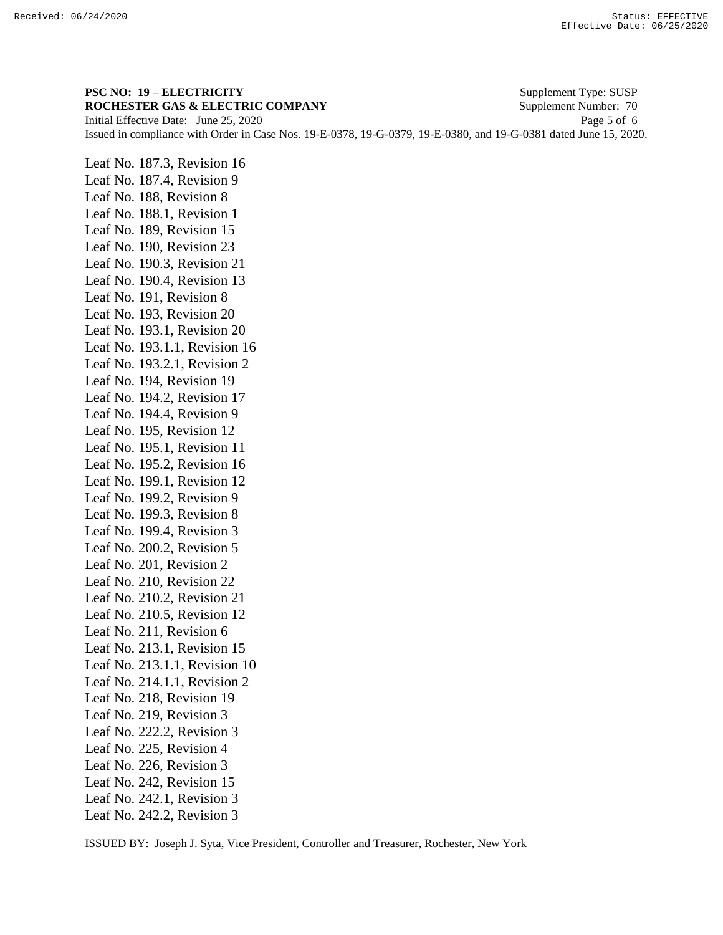**PSC NO: 19 – ELECTRICITY** Supplement Type: SUSP **ROCHESTER GAS & ELECTRIC COMPANY** Supplement Number: 70 Initial Effective Date: June 25, 2020 Page 5 of 6 Issued in compliance with Order in Case Nos. 19-E-0378, 19-G-0379, 19-E-0380, and 19-G-0381 dated June 15, 2020.

Leaf No. 187.3, Revision 16 Leaf No. 187.4, Revision 9 Leaf No. 188, Revision 8 Leaf No. 188.1, Revision 1 Leaf No. 189, Revision 15 Leaf No. 190, Revision 23 Leaf No. 190.3, Revision 21 Leaf No. 190.4, Revision 13 Leaf No. 191, Revision 8 Leaf No. 193, Revision 20 Leaf No. 193.1, Revision 20 Leaf No. 193.1.1, Revision 16 Leaf No. 193.2.1, Revision 2 Leaf No. 194, Revision 19 Leaf No. 194.2, Revision 17 Leaf No. 194.4, Revision 9 Leaf No. 195, Revision 12 Leaf No. 195.1, Revision 11 Leaf No. 195.2, Revision 16 Leaf No. 199.1, Revision 12 Leaf No. 199.2, Revision 9 Leaf No. 199.3, Revision 8 Leaf No. 199.4, Revision 3 Leaf No. 200.2, Revision 5 Leaf No. 201, Revision 2 Leaf No. 210, Revision 22 Leaf No. 210.2, Revision 21 Leaf No. 210.5, Revision 12 Leaf No. 211, Revision 6 Leaf No. 213.1, Revision 15 Leaf No. 213.1.1, Revision 10 Leaf No. 214.1.1, Revision 2 Leaf No. 218, Revision 19 Leaf No. 219, Revision 3 Leaf No. 222.2, Revision 3 Leaf No. 225, Revision 4 Leaf No. 226, Revision 3 Leaf No. 242, Revision 15 Leaf No. 242.1, Revision 3 Leaf No. 242.2, Revision 3